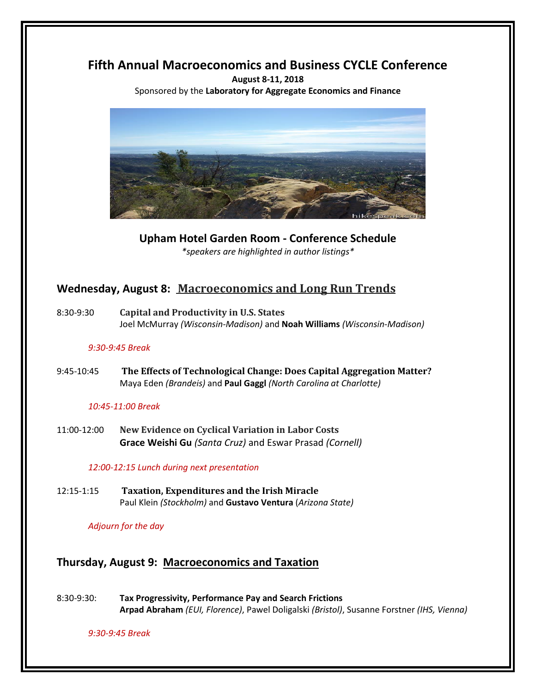# **Fifth Annual Macroeconomics and Business CYCLE Conference**

**August 8-11, 2018** Sponsored by the **Laboratory for Aggregate Economics and Finance**



**Upham Hotel Garden Room - Conference Schedule** *\*speakers are highlighted in author listings\**

# **Wednesday, August 8: Macroeconomics and Long Run Trends**

8:30-9:30 **Capital and Productivity in U.S. States** Joel McMurray *(Wisconsin-Madison)* and **Noah Williams** *(Wisconsin-Madison)*

### *9:30-9:45 Break*

9:45-10:45 **The Effects of Technological Change: Does Capital Aggregation Matter?** Maya Eden *(Brandeis)* and **Paul Gaggl** *(North Carolina at Charlotte)*

### *10:45-11:00 Break*

11:00-12:00 **New Evidence on Cyclical Variation in Labor Costs Grace Weishi Gu** *(Santa Cruz)* and Eswar Prasad *(Cornell)*

### *12:00-12:15 Lunch during next presentation*

12:15-1:15 **Taxation, Expenditures and the Irish Miracle** Paul Klein *(Stockholm)* and **Gustavo Ventura** (*Arizona State)*

*Adjourn for the day* 

## **Thursday, August 9: Macroeconomics and Taxation**

8:30-9:30: **Tax Progressivity, Performance Pay and Search Frictions Arpad Abraham** *(EUI, Florence)*, Pawel Doligalski *(Bristol)*, Susanne Forstner *(IHS, Vienna)*

*9:30-9:45 Break*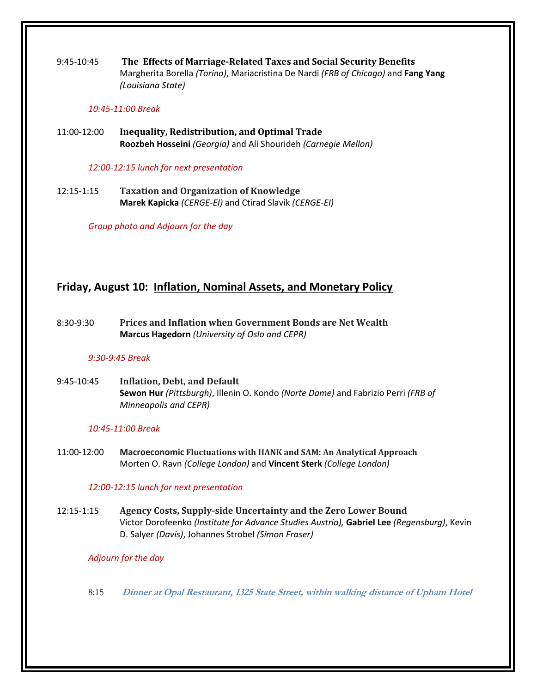9:45-10:45 **The Effects of Marriage-Related Taxes and Social Security Benefits** Margherita Borella *(Torino)*, Mariacristina De Nardi *(FRB of Chicago)* and **Fang Yang** *(Louisiana State)*

#### *10:45-11:00 Break*

11:00-12:00 **Inequality, Redistribution, and Optimal Trade Roozbeh Hosseini** *(Georgia)* and Ali Shourideh *(Carnegie Mellon)*

*12:00-12:15 lunch for next presentation*

12:15-1:15 **Taxation and Organization of Knowledge Marek Kapicka** *(CERGE-EI)* and Ctirad Slavik *(CERGE-EI)*

*Group photo and Adjourn for the day* 

## **Friday, August 10: Inflation, Nominal Assets, and Monetary Policy**

8:30-9:30 **Prices and Inflation when Government Bonds are Net Wealth Marcus Hagedorn** *(University of Oslo and CEPR)*

### *9:30-9:45 Break*

9:45-10:45 **Inflation, Debt, and Default Sewon Hur** *(Pittsburgh)*, Illenin O. Kondo *(Norte Dame)* and Fabrizio Perri *(FRB of Minneapolis and CEPR)*

### *10:45-11:00 Break*

11:00-12:00 **Macroeconomic Fluctuations with HANK and SAM: An Analytical Approach** Morten O. Ravn *(College London)* and **Vincent Sterk** *(College London)*

### *12:00-12:15 lunch for next presentation*

12:15-1:15 **Agency Costs, Supply-side Uncertainty and the Zero Lower Bound** Victor Dorofeenko *(Institute for Advance Studies Austria),* **Gabriel Lee** *(Regensburg)*, Kevin D. Salyer *(Davis)*, Johannes Strobel *(Simon Fraser)*

### *Adjourn for the day*

8:15 **Dinner at Opal Restaurant, 1325 State Street, within walking distance of Upham Hotel**